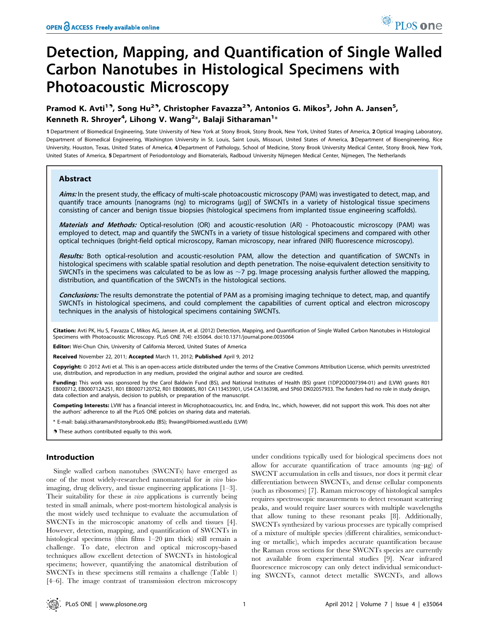# Detection, Mapping, and Quantification of Single Walled Carbon Nanotubes in Histological Specimens with Photoacoustic Microscopy

# Pramod K. Avti<sup>19</sup>, Song Hu<sup>29</sup>, Christopher Favazza<sup>29</sup>, Antonios G. Mikos<sup>3</sup>, John A. Jansen<sup>5</sup>, Kenneth R. Shroyer $^4$ , Lihong V. Wang $^{2\ast}$ , Balaji Sitharaman $^{1\ast}$

1 Department of Biomedical Engineering, State University of New York at Stony Brook, Stony Brook, New York, United States of America, 2Optical Imaging Laboratory, Department of Biomedical Engineering, Washington University in St. Louis, Saint Louis, Missouri, United States of America, 3 Department of Bioengineering, Rice University, Houston, Texas, United States of America, 4 Department of Pathology, School of Medicine, Stony Brook University Medical Center, Stony Brook, New York, United States of America, 5Department of Periodontology and Biomaterials, Radboud University Nijmegen Medical Center, Nijmegen, The Netherlands

# Abstract

Aims: In the present study, the efficacy of multi-scale photoacoustic microscopy (PAM) was investigated to detect, map, and quantify trace amounts [nanograms (ng) to micrograms (mg)] of SWCNTs in a variety of histological tissue specimens consisting of cancer and benign tissue biopsies (histological specimens from implanted tissue engineering scaffolds).

Materials and Methods: Optical-resolution (OR) and acoustic-resolution (AR) - Photoacoustic microscopy (PAM) was employed to detect, map and quantify the SWCNTs in a variety of tissue histological specimens and compared with other optical techniques (bright-field optical microscopy, Raman microscopy, near infrared (NIR) fluorescence microscopy).

Results: Both optical-resolution and acoustic-resolution PAM, allow the detection and quantification of SWCNTs in histological specimens with scalable spatial resolution and depth penetration. The noise-equivalent detection sensitivity to SWCNTs in the specimens was calculated to be as low as  $\sim$ 7 pg. Image processing analysis further allowed the mapping, distribution, and quantification of the SWCNTs in the histological sections.

Conclusions: The results demonstrate the potential of PAM as a promising imaging technique to detect, map, and quantify SWCNTs in histological specimens, and could complement the capabilities of current optical and electron microscopy techniques in the analysis of histological specimens containing SWCNTs.

Citation: Avti PK, Hu S, Favazza C, Mikos AG, Jansen JA, et al. (2012) Detection, Mapping, and Quantification of Single Walled Carbon Nanotubes in Histological Specimens with Photoacoustic Microscopy. PLoS ONE 7(4): e35064. doi:10.1371/journal.pone.0035064

Editor: Wei-Chun Chin, University of California Merced, United States of America

Received November 22, 2011; Accepted March 11, 2012; Published April 9, 2012

Copyright: © 2012 Avti et al. This is an open-access article distributed under the terms of the Creative Commons Attribution License, which permits unrestricted use, distribution, and reproduction in any medium, provided the original author and source are credited.

Funding: This work was sponsored by the Carol Baldwin Fund (BS), and National Institutes of Health (BS) grant (1DP2OD007394-01) and (LVW) grants R01 EB000712, EB000712A2S1, R01 EB00071207S2, R01 EB008085, R01 CA113453901, U54 CA136398, and 5P60 DK02057933. The funders had no role in study design, data collection and analysis, decision to publish, or preparation of the manuscript.

Competing Interests: LVW has a financial interest in Microphotoacoustics, Inc. and Endra, Inc., which, however, did not support this work. This does not alter the authors' adherence to all the PLoS ONE policies on sharing data and materials.

\* E-mail: balaji.sitharaman@stonybrook.edu (BS); lhwang@biomed.wustl.edu (LVW)

. These authors contributed equally to this work.

# Introduction

Single walled carbon nanotubes (SWCNTs) have emerged as one of the most widely-researched nanomaterial for in vivo bioimaging, drug delivery, and tissue engineering applications [1–3]. Their suitability for these  $in$  *vivo* applications is currently being tested in small animals, where post-mortem histological analysis is the most widely used technique to evaluate the accumulation of SWCNTs in the microscopic anatomy of cells and tissues [4]. However, detection, mapping, and quantification of SWCNTs in histological specimens (thin films 1-20  $\mu$ m thick) still remain a challenge. To date, electron and optical microscopy-based techniques allow excellent detection of SWCNTs in histological specimens; however, quantifying the anatomical distribution of SWCNTs in these specimens still remains a challenge (Table 1) [4–6]. The image contrast of transmission electron microscopy

under conditions typically used for biological specimens does not allow for accurate quantification of trace amounts  $(ng-\mu g)$  of SWCNT accumulation in cells and tissues, nor does it permit clear differentiation between SWCNTs, and dense cellular components (such as ribosomes) [7]. Raman microscopy of histological samples requires spectroscopic measurements to detect resonant scattering peaks, and would require laser sources with multiple wavelengths that allow tuning to these resonant peaks [8]. Additionally, SWCNTs synthesized by various processes are typically comprised of a mixture of multiple species (different chiralities, semiconducting or metallic), which impedes accurate quantification because the Raman cross sections for these SWCNTs species are currently not available from experimental studies [9]. Near infrared fluorescence microscopy can only detect individual semiconducting SWCNTs, cannot detect metallic SWCNTs, and allows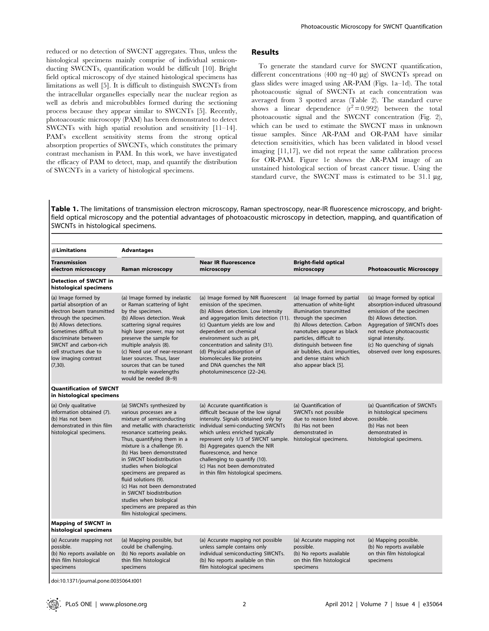reduced or no detection of SWCNT aggregates. Thus, unless the histological specimens mainly comprise of individual semiconducting SWCNTs, quantification would be difficult [10]. Bright field optical microscopy of dye stained histological specimens has limitations as well [5]. It is difficult to distinguish SWCNTs from the intracellular organelles especially near the nuclear region as well as debris and microbubbles formed during the sectioning process because they appear similar to SWCNTs [5]. Recently, photoacoustic microscopy (PAM) has been demonstrated to detect SWCNTs with high spatial resolution and sensitivity [11–14]. PAM's excellent sensitivity stems from the strong optical absorption properties of SWCNTs, which constitutes the primary contrast mechanism in PAM. In this work, we have investigated the efficacy of PAM to detect, map, and quantify the distribution of SWCNTs in a variety of histological specimens.

#### Results

To generate the standard curve for SWCNT quantification, different concentrations (400 ng–40  $\mu$ g) of SWCNTs spread on glass slides were imaged using AR-PAM (Figs. 1a–1d). The total photoacoustic signal of SWCNTs at each concentration was averaged from 3 spotted areas (Table 2). The standard curve shows a linear dependence  $(\vec{r}^2 = 0.992)$  between the total photoacoustic signal and the SWCNT concentration (Fig. 2), which can be used to estimate the SWCNT mass in unknown tissue samples. Since AR-PAM and OR-PAM have similar detection sensitivities, which has been validated in blood vessel imaging [11,17], we did not repeat the same calibration process for OR-PAM. Figure 1e shows the AR-PAM image of an unstained histological section of breast cancer tissue. Using the standard curve, the SWCNT mass is estimated to be  $31.1 \mu g$ ,

Table 1. The limitations of transmission electron microscopy, Raman spectroscopy, near-IR fluorescence microscopy, and brightfield optical microscopy and the potential advantages of photoacoustic microscopy in detection, mapping, and quantification of SWCNTs in histological specimens.

| $#$ Limitations                                                                                                                                                                                                                                                            | <b>Advantages</b>                                                                                                                                                                                                                                                                                                                                                                                                                                                                                                     |                                                                                                                                                                                                                                                                                                                                                                                                                           |                                                                                                                                                                                                                                                                                                |                                                                                                                                                                                                                                                                  |  |  |  |
|----------------------------------------------------------------------------------------------------------------------------------------------------------------------------------------------------------------------------------------------------------------------------|-----------------------------------------------------------------------------------------------------------------------------------------------------------------------------------------------------------------------------------------------------------------------------------------------------------------------------------------------------------------------------------------------------------------------------------------------------------------------------------------------------------------------|---------------------------------------------------------------------------------------------------------------------------------------------------------------------------------------------------------------------------------------------------------------------------------------------------------------------------------------------------------------------------------------------------------------------------|------------------------------------------------------------------------------------------------------------------------------------------------------------------------------------------------------------------------------------------------------------------------------------------------|------------------------------------------------------------------------------------------------------------------------------------------------------------------------------------------------------------------------------------------------------------------|--|--|--|
| Transmission<br>electron microscopy                                                                                                                                                                                                                                        | Raman microscopy                                                                                                                                                                                                                                                                                                                                                                                                                                                                                                      | <b>Near IR fluorescence</b><br>microscopy                                                                                                                                                                                                                                                                                                                                                                                 | <b>Bright-field optical</b><br>microscopy                                                                                                                                                                                                                                                      | <b>Photoacoustic Microscopy</b>                                                                                                                                                                                                                                  |  |  |  |
| <b>Detection of SWCNT in</b><br>histological specimens                                                                                                                                                                                                                     |                                                                                                                                                                                                                                                                                                                                                                                                                                                                                                                       |                                                                                                                                                                                                                                                                                                                                                                                                                           |                                                                                                                                                                                                                                                                                                |                                                                                                                                                                                                                                                                  |  |  |  |
| (a) Image formed by<br>partial absorption of an<br>electron beam transmitted<br>through the specimen.<br>(b) Allows detections.<br>Sometimes difficult to<br>discriminate between<br>SWCNT and carbon-rich<br>cell structures due to<br>low imaging contrast<br>$(7,30)$ . | (a) Image formed by inelastic<br>or Raman scattering of light<br>by the specimen.<br>(b) Allows detection. Weak<br>scattering signal requires<br>high laser power, may not<br>preserve the sample for<br>multiple analysis (8).<br>(c) Need use of near-resonant<br>laser sources. Thus, laser<br>sources that can be tuned<br>to multiple wavelengths<br>would be needed (8-9)                                                                                                                                       | (a) Image formed by NIR fluorescent<br>emission of the specimen.<br>(b) Allows detection. Low intensity<br>and aggregation limits detection (11). through the specimen<br>(c) Quantum yields are low and<br>dependent on chemical<br>environment such as pH,<br>concentration and salinity (31).<br>(d) Physical adsorption of<br>biomolecules like proteins<br>and DNA quenches the NIR<br>photoluminescence (22-24).    | (a) Image formed by partial<br>attenuation of white-light<br>illumination transmitted<br>(b) Allows detection. Carbon<br>nanotubes appear as black<br>particles, difficult to<br>distinguish between fine<br>air bubbles, dust impurities,<br>and dense stains which<br>also appear black [5]. | (a) Image formed by optical<br>absorption-induced ultrasound<br>emission of the specimen<br>(b) Allows detection.<br>Aggregation of SWCNTs does<br>not reduce photoacoustic<br>signal intensity.<br>(c) No quenching of signals<br>observed over long exposures. |  |  |  |
| <b>Quantification of SWCNT</b><br>in histological specimens                                                                                                                                                                                                                |                                                                                                                                                                                                                                                                                                                                                                                                                                                                                                                       |                                                                                                                                                                                                                                                                                                                                                                                                                           |                                                                                                                                                                                                                                                                                                |                                                                                                                                                                                                                                                                  |  |  |  |
| (a) Only qualitative<br>information obtained (7).<br>(b) Has not been<br>demonstrated in thin film<br>histological specimens.                                                                                                                                              | (a) SWCNTs synthesized by<br>various processes are a<br>mixture of semiconducting<br>and metallic with characteristic<br>resonance scattering peaks.<br>Thus, quantifying them in a<br>mixture is a challenge (9).<br>(b) Has been demonstrated<br>in SWCNT biodistribution<br>studies when biological<br>specimens are prepared as<br>fluid solutions (9).<br>(c) Has not been demonstrated<br>in SWCNT biodistribution<br>studies when biological<br>specimens are prepared as thin<br>film histological specimens. | (a) Accurate quantification is<br>difficult because of the low signal<br>intensity. Signals obtained only by<br>individual semi-conducting SWCNTs<br>which unless enriched typically<br>represent only 1/3 of SWCNT sample. histological specimens.<br>(b) Aggregates quench the NIR<br>fluorescence, and hence<br>challenging to quantify (10).<br>(c) Has not been demonstrated<br>in thin film histological specimens. | (a) Quantification of<br>SWCNTs not possible<br>due to reason listed above.<br>(b) Has not been<br>demonstrated in                                                                                                                                                                             | (a) Quantification of SWCNTs<br>in histological specimens<br>possible.<br>(b) Has not been<br>demonstrated in<br>histological specimens.                                                                                                                         |  |  |  |
| <b>Mapping of SWCNT in</b><br>histological specimens                                                                                                                                                                                                                       |                                                                                                                                                                                                                                                                                                                                                                                                                                                                                                                       |                                                                                                                                                                                                                                                                                                                                                                                                                           |                                                                                                                                                                                                                                                                                                |                                                                                                                                                                                                                                                                  |  |  |  |
| (a) Accurate mapping not<br>possible.<br>(b) No reports available on<br>thin film histological<br>specimens                                                                                                                                                                | (a) Mapping possible, but<br>could be challenging.<br>(b) No reports available on<br>thin film histological<br>specimens                                                                                                                                                                                                                                                                                                                                                                                              | (a) Accurate mapping not possible<br>unless sample contains only<br>individual semiconducting SWCNTs.<br>(b) No reports available on thin<br>film histological specimens                                                                                                                                                                                                                                                  | (a) Accurate mapping not<br>possible.<br>(b) No reports available<br>on thin film histological<br>specimens                                                                                                                                                                                    | (a) Mapping possible.<br>(b) No reports available<br>on thin film histological<br>specimens                                                                                                                                                                      |  |  |  |

doi:10.1371/journal.pone.0035064.t001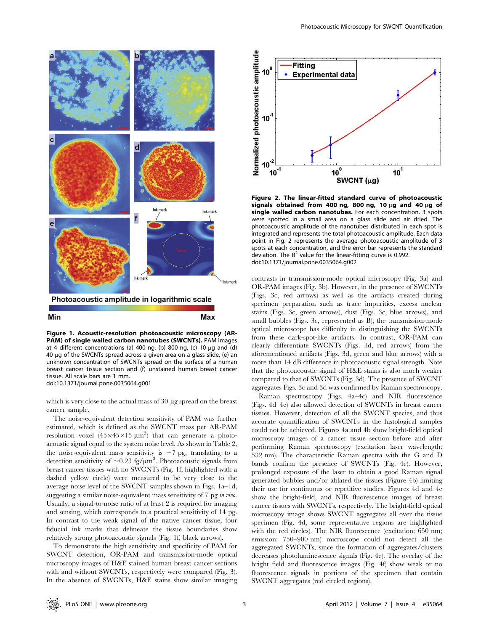

Figure 1. Acoustic-resolution photoacoustic microscopy (AR-PAM) of single walled carbon nanotubes (SWCNTs). PAM images at 4 different concentrations (a) 400 ng, (b) 800 ng, (c) 10  $\mu$ g and (d) 40 µg of the SWCNTs spread across a given area on a glass slide, (e) an unknown concentration of SWCNTs spread on the surface of a human breast cancer tissue section and (f) unstained human breast cancer tissue. All scale bars are 1 mm. doi:10.1371/journal.pone.0035064.g001

which is very close to the actual mass of  $30 \mu$ g spread on the breast cancer sample.

The noise-equivalent detection sensitivity of PAM was further estimated, which is defined as the SWCNT mass per AR-PAM resolution voxel  $(45\times45\times15 \text{ }\mu\text{m}^3)$  that can generate a photoacoustic signal equal to the system noise level. As shown in Table 2, the noise-equivalent mass sensitivity is  $\sim$ 7 pg, translating to a detection sensitivity of  $\sim 0.23$  fg/ $\mu$ m<sup>3</sup>. Photoacoustic signals from breast cancer tissues with no SWCNTs (Fig. 1f, highlighted with a dashed yellow circle) were measured to be very close to the average noise level of the SWCNT samples shown in Figs. 1a–1d, suggesting a similar noise-equivalent mass sensitivity of 7 pg in vivo. Usually, a signal-to-noise ratio of at least 2 is required for imaging and sensing, which corresponds to a practical sensitivity of 14 pg. In contrast to the weak signal of the native cancer tissue, four fiducial ink marks that delineate the tissue boundaries show relatively strong photoacoustic signals (Fig. 1f, black arrows).

To demonstrate the high sensitivity and specificity of PAM for SWCNT detection, OR-PAM and transmission-mode optical microscopy images of H&E stained human breast cancer sections with and without SWCNTs, respectively were compared (Fig. 3). In the absence of SWCNTs, H&E stains show similar imaging



Figure 2. The linear-fitted standard curve of photoacoustic signals obtained from 400 ng, 800 ng, 10  $\mu$ g and 40  $\mu$ g of single walled carbon nanotubes. For each concentration, 3 spots were spotted in a small area on a glass slide and air dried. The photoacoustic amplitude of the nanotubes distributed in each spot is integrated and represents the total photoacoustic amplitude. Each data point in Fig. 2 represents the average photoacoustic amplitude of 3 spots at each concentration, and the error bar represents the standard deviation. The  $R^2$  value for the linear-fitting curve is 0.992. doi:10.1371/journal.pone.0035064.g002

contrasts in transmission-mode optical microscopy (Fig. 3a) and OR-PAM images (Fig. 3b). However, in the presence of SWCNTs (Figs. 3c, red arrows) as well as the artifacts created during specimen preparation such as trace impurities, excess nuclear stains (Figs. 3c, green arrows), dust (Figs. 3c, blue arrows), and small bubbles (Figs. 3c, represented as B), the transmission-mode optical microscope has difficulty in distinguishing the SWCNTs from these dark-spot-like artifacts. In contrast, OR-PAM can clearly differentiate SWCNTs (Figs. 3d, red arrows) from the aforementioned artifacts (Figs. 3d, green and blue arrows) with a more than 14 dB difference in photoacoustic signal strength. Note that the photoacoustic signal of H&E stains is also much weaker compared to that of SWCNTs (Fig. 3d). The presence of SWCNT aggregates Figs. 3c and 3d was confirmed by Raman spectroscopy.

Raman spectroscopy (Figs. 4a–4c) and NIR fluorescence (Figs. 4d–4e) also allowed detection of SWCNTs in breast cancer tissues. However, detection of all the SWCNT species, and thus accurate quantification of SWCNTs in the histological samples could not be achieved. Figures 4a and 4b show bright-field optical microscopy images of a cancer tissue section before and after performing Raman spectroscopy (excitation laser wavelength: 532 nm). The characteristic Raman spectra with the G and D bands confirm the presence of SWCNTs (Fig. 4c). However, prolonged exposure of the laser to obtain a good Raman signal generated bubbles and/or ablated the tissues (Figure 4b) limiting their use for continuous or repetitive studies. Figures 4d and 4e show the bright-field, and NIR fluorescence images of breast cancer tissues with SWCNTs, respectively. The bright-field optical microscopy image shows SWCNT aggregates all over the tissue specimen (Fig. 4d, some representative regions are highlighted with the red circles). The NIR fluorescence (excitation: 650 nm; emission: 750–900 nm) microscope could not detect all the aggregated SWCNTs, since the formation of aggregates/clusters decreases photoluminescence signals (Fig. 4e). The overlay of the bright field and fluorescence images (Fig. 4f) show weak or no fluorescence signals in portions of the specimen that contain SWCNT aggregates (red circled regions).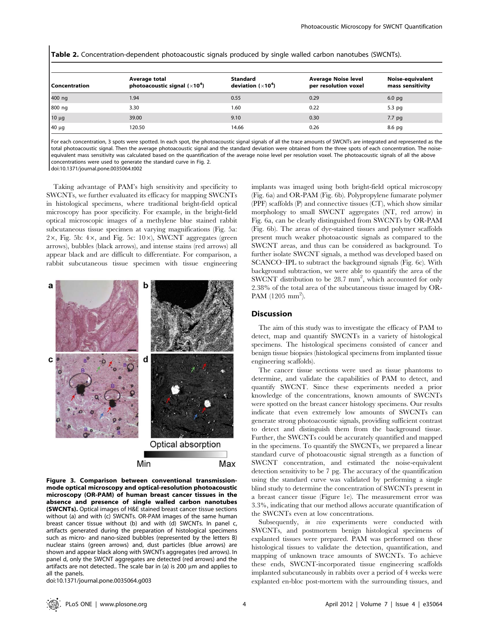| Table 2. Concentration-dependent photoacoustic signals produced by single walled carbon nanotubes (SWCNTs). |  |  |  |  |
|-------------------------------------------------------------------------------------------------------------|--|--|--|--|
|-------------------------------------------------------------------------------------------------------------|--|--|--|--|

| Concentration | Average total<br>photoacoustic signal $(x104)$ | <b>Standard</b><br>deviation $(x104)$ | <b>Average Noise level</b><br>per resolution voxel | Noise-equivalent<br>mass sensitivity |  |
|---------------|------------------------------------------------|---------------------------------------|----------------------------------------------------|--------------------------------------|--|
| 400 ng        | 1.94                                           | 0.55                                  | 0.29                                               | 6.0 <sub>pg</sub>                    |  |
| 800 ng        | 3.30                                           | 1.60                                  | 0.22                                               | $5.3$ pg                             |  |
| $10 \mu g$    | 39.00                                          | 9.10                                  | 0.30                                               | 7.7 pg                               |  |
| 40 µg         | 120.50                                         | 14.66                                 | 0.26                                               | 8.6 pg                               |  |

For each concentration, 3 spots were spotted. In each spot, the photoacoustic signal signals of all the trace amounts of SWCNTs are integrated and represented as the total photoacoustic signal. Then the average photoacoustic signal and the standard deviation were obtained from the three spots of each concentration. The noiseequivalent mass sensitivity was calculated based on the quantification of the average noise level per resolution voxel. The photoacoustic signals of all the above concentrations were used to generate the standard curve in Fig. 2.

doi:10.1371/journal.pone.0035064.t002

Taking advantage of PAM's high sensitivity and specificity to SWCNTs, we further evaluated its efficacy for mapping SWCNTs in histological specimens, where traditional bright-field optical microscopy has poor specificity. For example, in the bright-field optical microscopic images of a methylene blue stained rabbit subcutaneous tissue specimen at varying magnifications (Fig. 5a:  $2\times$ , Fig. 5b: 4 $\times$ , and Fig. 5c:  $10\times$ ), SWCNT aggregates (green arrows), bubbles (black arrows), and intense stains (red arrows) all appear black and are difficult to differentiate. For comparison, a rabbit subcutaneous tissue specimen with tissue engineering



Figure 3. Comparison between conventional transmissionmode optical microscopy and optical-resolution photoacoustic microscopy (OR-PAM) of human breast cancer tissues in the absence and presence of single walled carbon nanotubes (SWCNTs). Optical images of H&E stained breast cancer tissue sections without (a) and with (c) SWCNTs. OR-PAM images of the same human breast cancer tissue without (b) and with (d) SWCNTs. In panel c, artifacts generated during the preparation of histological specimens such as micro- and nano-sized bubbles (represented by the letters B) nuclear stains (green arrows) and, dust particles (blue arrows) are shown and appear black along with SWCNTs aggregates (red arrows). In panel d, only the SWCNT aggregates are detected (red arrows) and the artifacts are not detected.. The scale bar in (a) is 200  $\mu$ m and applies to all the panels.

doi:10.1371/journal.pone.0035064.g003

implants was imaged using both bright-field optical microscopy (Fig. 6a) and OR-PAM (Fig. 6b). Polypropylene fumarate polymer (PPF) scaffolds (P) and connective tissues (CT), which show similar morphology to small SWCNT aggregates (NT, red arrow) in Fig. 6a, can be clearly distinguished from SWCNTs by OR-PAM (Fig. 6b). The areas of dye-stained tissues and polymer scaffolds present much weaker photoacoustic signals as compared to the SWCNT areas, and thus can be considered as background. To further isolate SWCNT signals, a method was developed based on SCANCO–IPL to subtract the background signals (Fig. 6c). With background subtraction, we were able to quantify the area of the SWCNT distribution to be 28.7 mm<sup>2</sup>, which accounted for only 2.38% of the total area of the subcutaneous tissue imaged by OR-PAM  $(1205 \text{ mm}^2)$ .

#### Discussion

The aim of this study was to investigate the efficacy of PAM to detect, map and quantify SWCNTs in a variety of histological specimens. The histological specimens consisted of cancer and benign tissue biopsies (histological specimens from implanted tissue engineering scaffolds).

The cancer tissue sections were used as tissue phantoms to determine, and validate the capabilities of PAM to detect, and quantify SWCNT. Since these experiments needed a prior knowledge of the concentrations, known amounts of SWCNTs were spotted on the breast cancer histology specimens. Our results indicate that even extremely low amounts of SWCNTs can generate strong photoacoustic signals, providing sufficient contrast to detect and distinguish them from the background tissue. Further, the SWCNTs could be accurately quantified and mapped in the specimens. To quantify the SWCNTs, we prepared a linear standard curve of photoacoustic signal strength as a function of SWCNT concentration, and estimated the noise-equivalent detection sensitivity to be 7 pg. The accuracy of the quantification using the standard curve was validated by performing a single blind study to determine the concentration of SWCNTs present in a breast cancer tissue (Figure 1e). The measurement error was 3.3%, indicating that our method allows accurate quantification of the SWCNTs even at low concentrations.

Subsequently, in vivo experiments were conducted with SWCNTs, and postmortem benign histological specimens of explanted tissues were prepared. PAM was performed on these histological tissues to validate the detection, quantification, and mapping of unknown trace amounts of SWCNTs. To achieve these ends, SWCNT-incorporated tissue engineering scaffolds implanted subcutaneously in rabbits over a period of 4 weeks were explanted en-bloc post-mortem with the surrounding tissues, and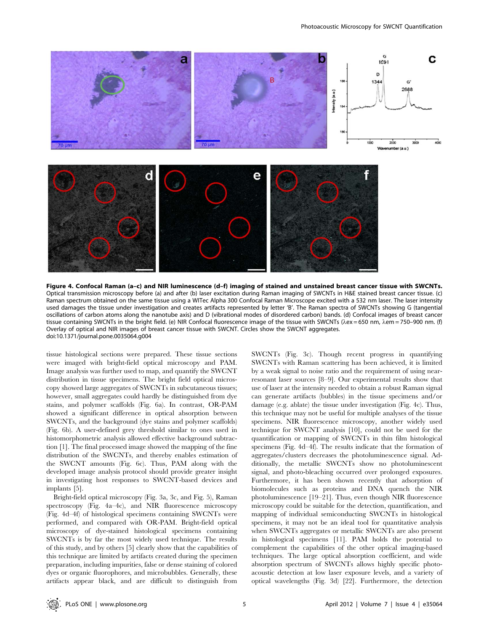

Figure 4. Confocal Raman (a–c) and NIR luminescence (d–f) imaging of stained and unstained breast cancer tissue with SWCNTs. Optical transmission microscopy before (a) and after (b) laser excitation during Raman imaging of SWCNTs in H&E stained breast cancer tissue. (c) Raman spectrum obtained on the same tissue using a WITec Alpha 300 Confocal Raman Microscope excited with a 532 nm laser. The laser intensity used damages the tissue under investigation and creates artifacts represented by letter 'B'. The Raman spectra of SWCNTs showing G (tangential oscillations of carbon atoms along the nanotube axis) and D (vibrational modes of disordered carbon) bands. (d) Confocal images of breast cancer tissue containing SWCNTs in the bright field. (e) NIR Confocal fluorescence image of the tissue with SWCNTs ( $\lambda$ ex = 650 nm,  $\lambda$ em = 750–900 nm. (f) Overlay of optical and NIR images of breast cancer tissue with SWCNT. Circles show the SWCNT aggregates. doi:10.1371/journal.pone.0035064.g004

tissue histological sections were prepared. These tissue sections were imaged with bright-field optical microscopy and PAM. Image analysis was further used to map, and quantify the SWCNT distribution in tissue specimens. The bright field optical microscopy showed large aggregates of SWCNTs in subcutaneous tissues; however, small aggregates could hardly be distinguished from dye stains, and polymer scaffolds (Fig. 6a). In contrast, OR-PAM showed a significant difference in optical absorption between SWCNTs, and the background (dye stains and polymer scaffolds) (Fig. 6b). A user-defined grey threshold similar to ones used in histomorphometric analysis allowed effective background subtraction [1]. The final processed image showed the mapping of the fine distribution of the SWCNTs, and thereby enables estimation of the SWCNT amounts (Fig. 6c). Thus, PAM along with the developed image analysis protocol should provide greater insight in investigating host responses to SWCNT-based devices and implants [5].

Bright-field optical microscopy (Fig. 3a, 3c, and Fig. 5), Raman spectroscopy (Fig. 4a–4c), and NIR fluorescence microscopy (Fig. 4d–4f) of histological specimens containing SWCNTs were performed, and compared with OR-PAM. Bright-field optical microscopy of dye-stained histological specimens containing SWCNTs is by far the most widely used technique. The results of this study, and by others [5] clearly show that the capabilities of this technique are limited by artifacts created during the specimen preparation, including impurities, false or dense staining of colored dyes or organic fluorophores, and microbubbles. Generally, these artifacts appear black, and are difficult to distinguish from SWCNTs (Fig. 3c). Though recent progress in quantifying SWCNTs with Raman scattering has been achieved, it is limited by a weak signal to noise ratio and the requirement of using nearresonant laser sources [8–9]. Our experimental results show that use of laser at the intensity needed to obtain a robust Raman signal can generate artifacts (bubbles) in the tissue specimens and/or damage (e.g. ablate) the tissue under investigation (Fig. 4c). Thus, this technique may not be useful for multiple analyses of the tissue specimens. NIR fluorescence microscopy, another widely used technique for SWCNT analysis [10], could not be used for the quantification or mapping of SWCNTs in thin film histological specimens (Fig. 4d–4f). The results indicate that the formation of aggregates/clusters decreases the photoluminescence signal. Additionally, the metallic SWCNTs show no photoluminescent signal, and photo-bleaching occurred over prolonged exposures. Furthermore, it has been shown recently that adsorption of biomolecules such as proteins and DNA quench the NIR photoluminescence [19–21]. Thus, even though NIR fluorescence microscopy could be suitable for the detection, quantification, and mapping of individual semiconducting SWCNTs in histological specimens, it may not be an ideal tool for quantitative analysis when SWCNTs aggregates or metallic SWCNTs are also present in histological specimens [11]. PAM holds the potential to complement the capabilities of the other optical imaging-based techniques. The large optical absorption coefficient, and wide absorption spectrum of SWCNTs allows highly specific photoacoustic detection at low laser exposure levels, and a variety of optical wavelengths (Fig. 3d) [22]. Furthermore, the detection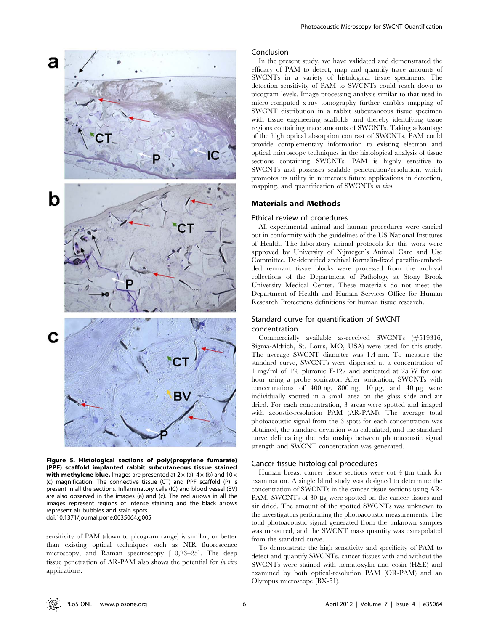

Figure 5. Histological sections of poly(propylene fumarate) (PPF) scaffold implanted rabbit subcutaneous tissue stained with methylene blue. Images are presented at  $2\times$  (a),  $4\times$  (b) and  $10\times$ (c) magnification. The connective tissue (CT) and PPF scaffold (P) is present in all the sections. Inflammatory cells (IC) and blood vessel (BV) are also observed in the images (a) and (c). The red arrows in all the images represent regions of intense staining and the black arrows represent air bubbles and stain spots. doi:10.1371/journal.pone.0035064.g005

sensitivity of PAM (down to picogram range) is similar, or better than existing optical techniques such as NIR fluorescence microscopy, and Raman spectroscopy [10,23–25]. The deep tissue penetration of AR-PAM also shows the potential for in vivo applications.

#### Conclusion

In the present study, we have validated and demonstrated the efficacy of PAM to detect, map and quantify trace amounts of SWCNTs in a variety of histological tissue specimens. The detection sensitivity of PAM to SWCNTs could reach down to picogram levels. Image processing analysis similar to that used in micro-computed x-ray tomography further enables mapping of SWCNT distribution in a rabbit subcutaneous tissue specimen with tissue engineering scaffolds and thereby identifying tissue regions containing trace amounts of SWCNTs. Taking advantage of the high optical absorption contrast of SWCNTs, PAM could provide complementary information to existing electron and optical microscopy techniques in the histological analysis of tissue sections containing SWCNTs. PAM is highly sensitive to SWCNTs and possesses scalable penetration/resolution, which promotes its utility in numerous future applications in detection, mapping, and quantification of SWCNTs in vivo.

### Materials and Methods

#### Ethical review of procedures

All experimental animal and human procedures were carried out in conformity with the guidelines of the US National Institutes of Health. The laboratory animal protocols for this work were approved by University of Nijmegen's Animal Care and Use Committee. De-identified archival formalin-fixed paraffin-embedded remnant tissue blocks were processed from the archival collections of the Department of Pathology at Stony Brook University Medical Center. These materials do not meet the Department of Health and Human Services Office for Human Research Protections definitions for human tissue research.

# Standard curve for quantification of SWCNT concentration

Commercially available as-received SWCNTs (#519316, Sigma-Aldrich, St. Louis, MO, USA) were used for this study. The average SWCNT diameter was 1.4 nm. To measure the standard curve, SWCNTs were dispersed at a concentration of 1 mg/ml of 1% pluronic F-127 and sonicated at 25 W for one hour using a probe sonicator. After sonication, SWCNTs with concentrations of  $400$  ng,  $800$  ng,  $10 \mu$ g, and  $40 \mu$ g were individually spotted in a small area on the glass slide and air dried. For each concentration, 3 areas were spotted and imaged with acoustic-resolution PAM (AR-PAM). The average total photoacoustic signal from the 3 spots for each concentration was obtained, the standard deviation was calculated, and the standard curve delineating the relationship between photoacoustic signal strength and SWCNT concentration was generated.

#### Cancer tissue histological procedures

Human breast cancer tissue sections were cut  $4 \mu m$  thick for examination. A single blind study was designed to determine the concentration of SWCNTs in the cancer tissue sections using AR-PAM. SWCNTs of 30 µg were spotted on the cancer tissues and air dried. The amount of the spotted SWCNTs was unknown to the investigators performing the photoacoustic measurements. The total photoacoustic signal generated from the unknown samples was measured, and the SWCNT mass quantity was extrapolated from the standard curve.

To demonstrate the high sensitivity and specificity of PAM to detect and quantify SWCNTs, cancer tissues with and without the SWCNTs were stained with hematoxylin and eosin (H&E) and examined by both optical-resolution PAM (OR-PAM) and an Olympus microscope (BX-51).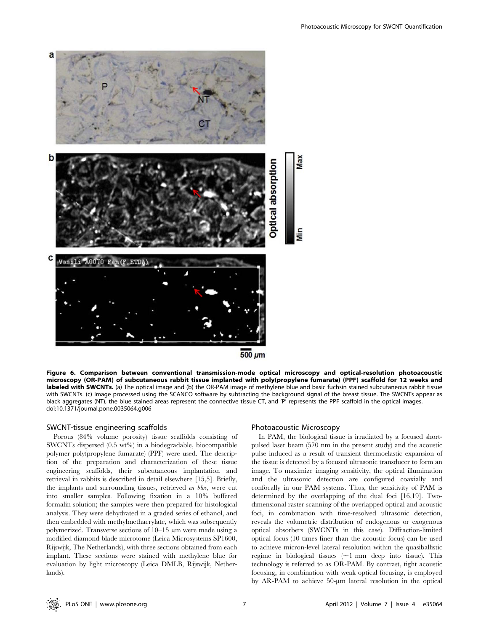

Figure 6. Comparison between conventional transmission-mode optical microscopy and optical-resolution photoacoustic microscopy (OR-PAM) of subcutaneous rabbit tissue implanted with poly(propylene fumarate) (PPF) scaffold for 12 weeks and labeled with SWCNTs. (a) The optical image and (b) the OR-PAM image of methylene blue and basic fuchsin stained subcutaneous rabbit tissue with SWCNTs. (c) Image processed using the SCANCO software by subtracting the background signal of the breast tissue. The SWCNTs appear as black aggregates (NT), the blue stained areas represent the connective tissue CT, and 'P' represents the PPF scaffold in the optical images. doi:10.1371/journal.pone.0035064.g006

# SWCNT-tissue engineering scaffolds

Porous (84% volume porosity) tissue scaffolds consisting of SWCNTs dispersed (0.5 wt%) in a biodegradable, biocompatible polymer poly(propylene fumarate) (PPF) were used. The description of the preparation and characterization of these tissue engineering scaffolds, their subcutaneous implantation and retrieval in rabbits is described in detail elsewhere [15,5]. Briefly, the implants and surrounding tissues, retrieved en bloc, were cut into smaller samples. Following fixation in a 10% buffered formalin solution; the samples were then prepared for histological analysis. They were dehydrated in a graded series of ethanol, and then embedded with methylmethacrylate, which was subsequently polymerized. Transverse sections of  $10-15$  µm were made using a modified diamond blade microtome (Leica Microsystems SP1600, Rijswijk, The Netherlands), with three sections obtained from each implant. These sections were stained with methylene blue for evaluation by light microscopy (Leica DMLB, Rijswijk, Netherlands).

#### Photoacoustic Microscopy

In PAM, the biological tissue is irradiated by a focused shortpulsed laser beam (570 nm in the present study) and the acoustic pulse induced as a result of transient thermoelastic expansion of the tissue is detected by a focused ultrasonic transducer to form an image. To maximize imaging sensitivity, the optical illumination and the ultrasonic detection are configured coaxially and confocally in our PAM systems. Thus, the sensitivity of PAM is determined by the overlapping of the dual foci [16,19]. Twodimensional raster scanning of the overlapped optical and acoustic foci, in combination with time-resolved ultrasonic detection, reveals the volumetric distribution of endogenous or exogenous optical absorbers (SWCNTs in this case). Diffraction-limited optical focus (10 times finer than the acoustic focus) can be used to achieve micron-level lateral resolution within the quasiballistic regime in biological tissues  $(\sim 1 \text{ mm}$  deep into tissue). This technology is referred to as OR-PAM. By contrast, tight acoustic focusing, in combination with weak optical focusing, is employed by AR-PAM to achieve 50-um lateral resolution in the optical